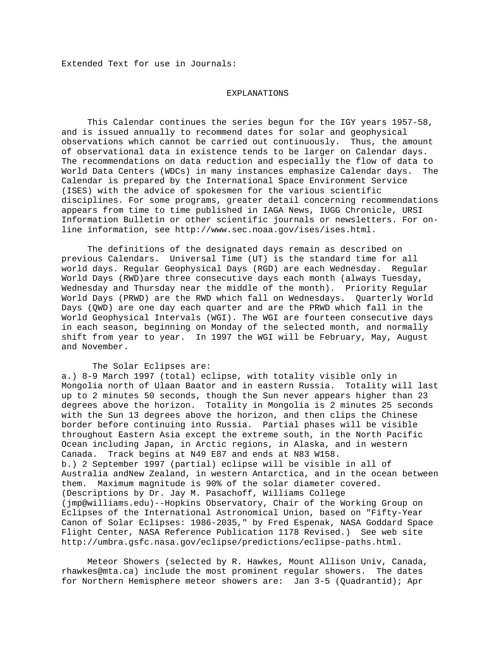Extended Text for use in Journals:

## EXPLANATIONS

 This Calendar continues the series begun for the IGY years 1957-58, and is issued annually to recommend dates for solar and geophysical observations which cannot be carried out continuously. Thus, the amount of observational data in existence tends to be larger on Calendar days. The recommendations on data reduction and especially the flow of data to World Data Centers (WDCs) in many instances emphasize Calendar days. The Calendar is prepared by the International Space Environment Service (ISES) with the advice of spokesmen for the various scientific disciplines. For some programs, greater detail concerning recommendations appears from time to time published in IAGA News, IUGG Chronicle, URSI Information Bulletin or other scientific journals or newsletters. For online information, see http://www.sec.noaa.gov/ises/ises.html.

 The definitions of the designated days remain as described on previous Calendars. Universal Time (UT) is the standard time for all world days. Regular Geophysical Days (RGD) are each Wednesday. Regular World Days (RWD)are three consecutive days each month (always Tuesday, Wednesday and Thursday near the middle of the month). Priority Regular World Days (PRWD) are the RWD which fall on Wednesdays. Quarterly World Days (QWD) are one day each quarter and are the PRWD which fall in the World Geophysical Intervals (WGI). The WGI are fourteen consecutive days in each season, beginning on Monday of the selected month, and normally shift from year to year. In 1997 the WGI will be February, May, August and November.

## The Solar Eclipses are:

a.) 8-9 March 1997 (total) eclipse, with totality visible only in Mongolia north of Ulaan Baator and in eastern Russia. Totality will last up to 2 minutes 50 seconds, though the Sun never appears higher than 23 degrees above the horizon. Totality in Mongolia is 2 minutes 25 seconds with the Sun 13 degrees above the horizon, and then clips the Chinese border before continuing into Russia. Partial phases will be visible throughout Eastern Asia except the extreme south, in the North Pacific Ocean including Japan, in Arctic regions, in Alaska, and in western Canada. Track begins at N49 E87 and ends at N83 W158. b.) 2 September 1997 (partial) eclipse will be visible in all of Australia andNew Zealand, in western Antarctica, and in the ocean between them. Maximum magnitude is 90% of the solar diameter covered. (Descriptions by Dr. Jay M. Pasachoff, Williams College (jmp@williams.edu)--Hopkins Observatory, Chair of the Working Group on Eclipses of the International Astronomical Union, based on "Fifty-Year Canon of Solar Eclipses: 1986-2035," by Fred Espenak, NASA Goddard Space Flight Center, NASA Reference Publication 1178 Revised.) See web site http://umbra.gsfc.nasa.gov/eclipse/predictions/eclipse-paths.html.

 Meteor Showers (selected by R. Hawkes, Mount Allison Univ, Canada, rhawkes@mta.ca) include the most prominent regular showers. The dates for Northern Hemisphere meteor showers are: Jan 3-5 (Quadrantid); Apr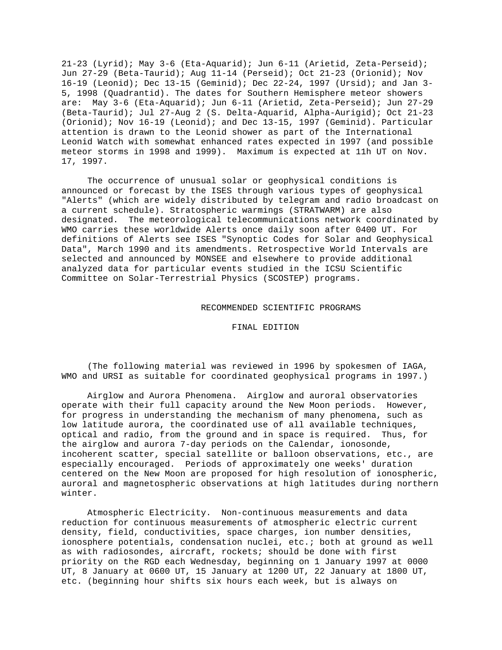21-23 (Lyrid); May 3-6 (Eta-Aquarid); Jun 6-11 (Arietid, Zeta-Perseid); Jun 27-29 (Beta-Taurid); Aug 11-14 (Perseid); Oct 21-23 (Orionid); Nov 16-19 (Leonid); Dec 13-15 (Geminid); Dec 22-24, 1997 (Ursid); and Jan 3- 5, 1998 (Quadrantid). The dates for Southern Hemisphere meteor showers are: May 3-6 (Eta-Aquarid); Jun 6-11 (Arietid, Zeta-Perseid); Jun 27-29 (Beta-Taurid); Jul 27-Aug 2 (S. Delta-Aquarid, Alpha-Aurigid); Oct 21-23 (Orionid); Nov 16-19 (Leonid); and Dec 13-15, 1997 (Geminid). Particular attention is drawn to the Leonid shower as part of the International Leonid Watch with somewhat enhanced rates expected in 1997 (and possible meteor storms in 1998 and 1999). Maximum is expected at 11h UT on Nov. 17, 1997.

 The occurrence of unusual solar or geophysical conditions is announced or forecast by the ISES through various types of geophysical "Alerts" (which are widely distributed by telegram and radio broadcast on a current schedule). Stratospheric warmings (STRATWARM) are also designated. The meteorological telecommunications network coordinated by WMO carries these worldwide Alerts once daily soon after 0400 UT. For definitions of Alerts see ISES "Synoptic Codes for Solar and Geophysical Data", March 1990 and its amendments. Retrospective World Intervals are selected and announced by MONSEE and elsewhere to provide additional analyzed data for particular events studied in the ICSU Scientific Committee on Solar-Terrestrial Physics (SCOSTEP) programs.

## RECOMMENDED SCIENTIFIC PROGRAMS

FINAL EDITION

 (The following material was reviewed in 1996 by spokesmen of IAGA, WMO and URSI as suitable for coordinated geophysical programs in 1997.)

 Airglow and Aurora Phenomena. Airglow and auroral observatories operate with their full capacity around the New Moon periods. However, for progress in understanding the mechanism of many phenomena, such as low latitude aurora, the coordinated use of all available techniques, optical and radio, from the ground and in space is required. Thus, for the airglow and aurora 7-day periods on the Calendar, ionosonde, incoherent scatter, special satellite or balloon observations, etc., are especially encouraged. Periods of approximately one weeks' duration centered on the New Moon are proposed for high resolution of ionospheric, auroral and magnetospheric observations at high latitudes during northern winter.

 Atmospheric Electricity. Non-continuous measurements and data reduction for continuous measurements of atmospheric electric current density, field, conductivities, space charges, ion number densities, ionosphere potentials, condensation nuclei, etc.; both at ground as well as with radiosondes, aircraft, rockets; should be done with first priority on the RGD each Wednesday, beginning on 1 January 1997 at 0000 UT, 8 January at 0600 UT, 15 January at 1200 UT, 22 January at 1800 UT, etc. (beginning hour shifts six hours each week, but is always on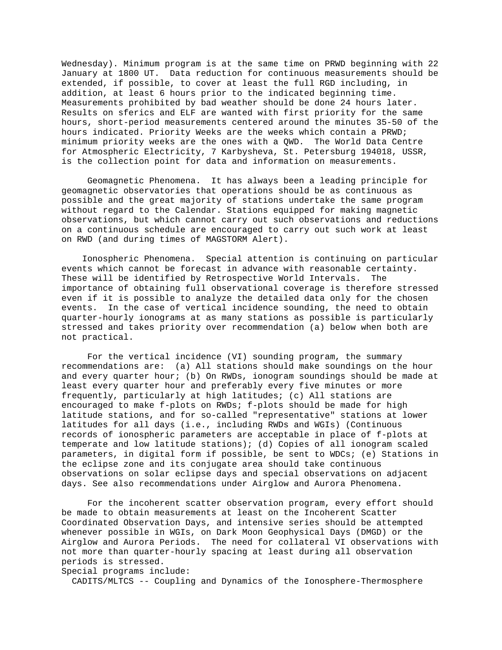Wednesday). Minimum program is at the same time on PRWD beginning with 22 January at 1800 UT. Data reduction for continuous measurements should be extended, if possible, to cover at least the full RGD including, in addition, at least 6 hours prior to the indicated beginning time. Measurements prohibited by bad weather should be done 24 hours later. Results on sferics and ELF are wanted with first priority for the same hours, short-period measurements centered around the minutes 35-50 of the hours indicated. Priority Weeks are the weeks which contain a PRWD; minimum priority weeks are the ones with a QWD. The World Data Centre for Atmospheric Electricity, 7 Karbysheva, St. Petersburg 194018, USSR, is the collection point for data and information on measurements.

 Geomagnetic Phenomena. It has always been a leading principle for geomagnetic observatories that operations should be as continuous as possible and the great majority of stations undertake the same program without regard to the Calendar. Stations equipped for making magnetic observations, but which cannot carry out such observations and reductions on a continuous schedule are encouraged to carry out such work at least on RWD (and during times of MAGSTORM Alert).

 Ionospheric Phenomena. Special attention is continuing on particular events which cannot be forecast in advance with reasonable certainty. These will be identified by Retrospective World Intervals. The importance of obtaining full observational coverage is therefore stressed even if it is possible to analyze the detailed data only for the chosen events. In the case of vertical incidence sounding, the need to obtain quarter-hourly ionograms at as many stations as possible is particularly stressed and takes priority over recommendation (a) below when both are not practical.

 For the vertical incidence (VI) sounding program, the summary recommendations are: (a) All stations should make soundings on the hour and every quarter hour; (b) On RWDs, ionogram soundings should be made at least every quarter hour and preferably every five minutes or more frequently, particularly at high latitudes; (c) All stations are encouraged to make f-plots on RWDs; f-plots should be made for high latitude stations, and for so-called "representative" stations at lower latitudes for all days (i.e., including RWDs and WGIs) (Continuous records of ionospheric parameters are acceptable in place of f-plots at temperate and low latitude stations); (d) Copies of all ionogram scaled parameters, in digital form if possible, be sent to WDCs; (e) Stations in the eclipse zone and its conjugate area should take continuous observations on solar eclipse days and special observations on adjacent days. See also recommendations under Airglow and Aurora Phenomena.

 For the incoherent scatter observation program, every effort should be made to obtain measurements at least on the Incoherent Scatter Coordinated Observation Days, and intensive series should be attempted whenever possible in WGIs, on Dark Moon Geophysical Days (DMGD) or the Airglow and Aurora Periods. The need for collateral VI observations with not more than quarter-hourly spacing at least during all observation periods is stressed.

## Special programs include:

CADITS/MLTCS -- Coupling and Dynamics of the Ionosphere-Thermosphere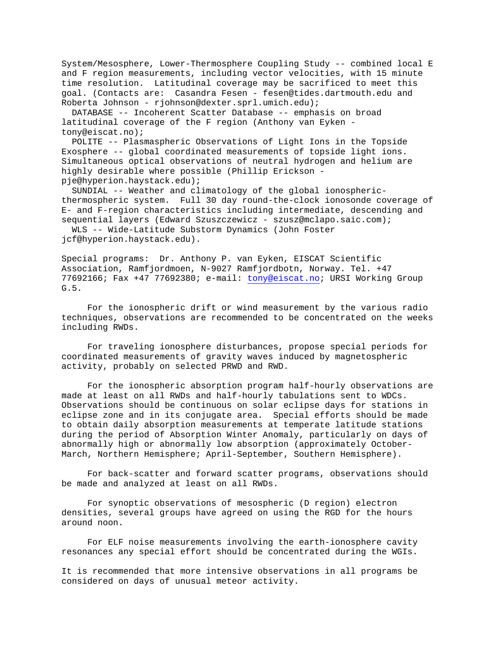System/Mesosphere, Lower-Thermosphere Coupling Study -- combined local E and F region measurements, including vector velocities, with 15 minute time resolution. Latitudinal coverage may be sacrificed to meet this goal. (Contacts are: Casandra Fesen - fesen@tides.dartmouth.edu and Roberta Johnson - rjohnson@dexter.sprl.umich.edu);

 DATABASE -- Incoherent Scatter Database -- emphasis on broad latitudinal coverage of the F region (Anthony van Eyken tony@eiscat.no);

 POLITE -- Plasmaspheric Observations of Light Ions in the Topside Exosphere -- global coordinated measurements of topside light ions. Simultaneous optical observations of neutral hydrogen and helium are highly desirable where possible (Phillip Erickson pje@hyperion.haystack.edu);

 SUNDIAL -- Weather and climatology of the global ionosphericthermospheric system. Full 30 day round-the-clock ionosonde coverage of E- and F-region characteristics including intermediate, descending and sequential layers (Edward Szuszczewicz - szusz@mclapo.saic.com);

 WLS -- Wide-Latitude Substorm Dynamics (John Foster jcf@hyperion.haystack.edu).

Special programs: Dr. Anthony P. van Eyken, EISCAT Scientific Association, Ramfjordmoen, N-9027 Ramfjordbotn, Norway. Tel. +47 77692166; Fax +47 77692380; e-mail: tony@eiscat.no; URSI Working Group G.5.

 For the ionospheric drift or wind measurement by the various radio techniques, observations are recommended to be concentrated on the weeks including RWDs.

 For traveling ionosphere disturbances, propose special periods for coordinated measurements of gravity waves induced by magnetospheric activity, probably on selected PRWD and RWD.

 For the ionospheric absorption program half-hourly observations are made at least on all RWDs and half-hourly tabulations sent to WDCs. Observations should be continuous on solar eclipse days for stations in eclipse zone and in its conjugate area. Special efforts should be made to obtain daily absorption measurements at temperate latitude stations during the period of Absorption Winter Anomaly, particularly on days of abnormally high or abnormally low absorption (approximately October-March, Northern Hemisphere; April-September, Southern Hemisphere).

 For back-scatter and forward scatter programs, observations should be made and analyzed at least on all RWDs.

 For synoptic observations of mesospheric (D region) electron densities, several groups have agreed on using the RGD for the hours around noon.

 For ELF noise measurements involving the earth-ionosphere cavity resonances any special effort should be concentrated during the WGIs.

It is recommended that more intensive observations in all programs be considered on days of unusual meteor activity.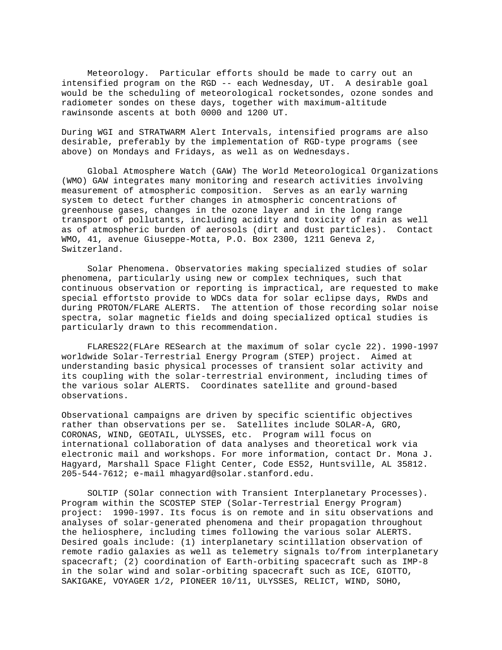Meteorology. Particular efforts should be made to carry out an intensified program on the RGD -- each Wednesday, UT. A desirable goal would be the scheduling of meteorological rocketsondes, ozone sondes and radiometer sondes on these days, together with maximum-altitude rawinsonde ascents at both 0000 and 1200 UT.

During WGI and STRATWARM Alert Intervals, intensified programs are also desirable, preferably by the implementation of RGD-type programs (see above) on Mondays and Fridays, as well as on Wednesdays.

 Global Atmosphere Watch (GAW) The World Meteorological Organizations (WMO) GAW integrates many monitoring and research activities involving measurement of atmospheric composition. Serves as an early warning system to detect further changes in atmospheric concentrations of greenhouse gases, changes in the ozone layer and in the long range transport of pollutants, including acidity and toxicity of rain as well as of atmospheric burden of aerosols (dirt and dust particles). Contact WMO, 41, avenue Giuseppe-Motta, P.O. Box 2300, 1211 Geneva 2, Switzerland.

 Solar Phenomena. Observatories making specialized studies of solar phenomena, particularly using new or complex techniques, such that continuous observation or reporting is impractical, are requested to make special effortsto provide to WDCs data for solar eclipse days, RWDs and during PROTON/FLARE ALERTS. The attention of those recording solar noise spectra, solar magnetic fields and doing specialized optical studies is particularly drawn to this recommendation.

 FLARES22(FLAre RESearch at the maximum of solar cycle 22). 1990-1997 worldwide Solar-Terrestrial Energy Program (STEP) project. Aimed at understanding basic physical processes of transient solar activity and its coupling with the solar-terrestrial environment, including times of the various solar ALERTS. Coordinates satellite and ground-based observations.

Observational campaigns are driven by specific scientific objectives rather than observations per se. Satellites include SOLAR-A, GRO, CORONAS, WIND, GEOTAIL, ULYSSES, etc. Program will focus on international collaboration of data analyses and theoretical work via electronic mail and workshops. For more information, contact Dr. Mona J. Hagyard, Marshall Space Flight Center, Code ES52, Huntsville, AL 35812. 205-544-7612; e-mail mhagyard@solar.stanford.edu.

 SOLTIP (SOlar connection with Transient Interplanetary Processes). Program within the SCOSTEP STEP (Solar-Terrestrial Energy Program) project: 1990-1997. Its focus is on remote and in situ observations and analyses of solar-generated phenomena and their propagation throughout the heliosphere, including times following the various solar ALERTS. Desired goals include: (1) interplanetary scintillation observation of remote radio galaxies as well as telemetry signals to/from interplanetary spacecraft; (2) coordination of Earth-orbiting spacecraft such as IMP-8 in the solar wind and solar-orbiting spacecraft such as ICE, GIOTTO, SAKIGAKE, VOYAGER 1/2, PIONEER 10/11, ULYSSES, RELICT, WIND, SOHO,